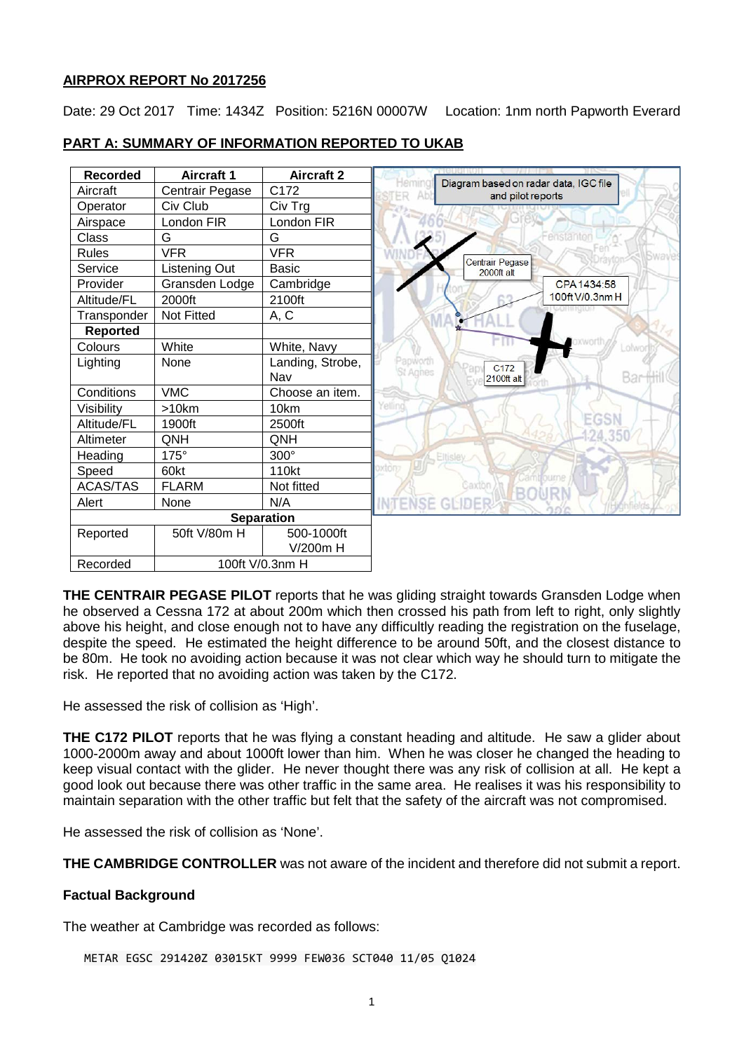## **AIRPROX REPORT No 2017256**

Date: 29 Oct 2017 Time: 1434Z Position: 5216N 00007W Location: 1nm north Papworth Everard

| <b>Recorded</b> | <b>Aircraft 1</b> | <b>Aircraft 2</b> | Hemin           |                                                            |
|-----------------|-------------------|-------------------|-----------------|------------------------------------------------------------|
| Aircraft        | Centrair Pegase   | C172              |                 | Diagram based on radar data, IGC file<br>and pilot reports |
| Operator        | Civ Club          | Civ Trg           |                 |                                                            |
| Airspace        | London FIR        | London FIR        |                 |                                                            |
| Class           | G                 | G                 |                 |                                                            |
| <b>Rules</b>    | <b>VFR</b>        | <b>VFR</b>        |                 |                                                            |
| Service         | Listening Out     | Basic             |                 | Centrair Pegase<br>2000ft alt                              |
| Provider        | Gransden Lodge    | Cambridge         |                 |                                                            |
| Altitude/FL     | 2000ft            | 2100ft            |                 |                                                            |
| Transponder     | Not Fitted        | A, C              |                 |                                                            |
| <b>Reported</b> |                   |                   |                 |                                                            |
| Colours         | White             | White, Navy       |                 |                                                            |
| Lighting        | None              | Landing, Strobe,  | Papworth        | C <sub>172</sub>                                           |
|                 |                   | Nav               | <b>St Agnes</b> | 2100ft alt                                                 |
| Conditions      | <b>VMC</b>        | Choose an item.   |                 |                                                            |
| Visibility      | $>10$ km          | 10km              | ellind          |                                                            |
| Altitude/FL     | 1900ft            | 2500ft            |                 |                                                            |
| Altimeter       | QNH               | QNH               |                 |                                                            |
| Heading         | 175°              | $300^\circ$       |                 | Eltisley.                                                  |
| Speed           | 60kt              | 110kt             | oxton           |                                                            |
| <b>ACAS/TAS</b> | <b>FLARM</b>      | Not fitted        |                 | iaxtor                                                     |
| Alert           | None              | N/A               |                 | <b>NTENSE GLIDER</b>                                       |
|                 | <b>Separation</b> |                   |                 |                                                            |
| Reported        | 50ft V/80m H      | 500-1000ft        |                 |                                                            |
|                 |                   | $V/200m$ H        |                 |                                                            |
| Recorded        |                   | 100ft V/0.3nm H   |                 |                                                            |

# **PART A: SUMMARY OF INFORMATION REPORTED TO UKAB**

**THE CENTRAIR PEGASE PILOT** reports that he was gliding straight towards Gransden Lodge when he observed a Cessna 172 at about 200m which then crossed his path from left to right, only slightly above his height, and close enough not to have any difficultly reading the registration on the fuselage, despite the speed. He estimated the height difference to be around 50ft, and the closest distance to be 80m. He took no avoiding action because it was not clear which way he should turn to mitigate the risk. He reported that no avoiding action was taken by the C172.

He assessed the risk of collision as 'High'.

**THE C172 PILOT** reports that he was flying a constant heading and altitude. He saw a glider about 1000-2000m away and about 1000ft lower than him. When he was closer he changed the heading to keep visual contact with the glider. He never thought there was any risk of collision at all. He kept a good look out because there was other traffic in the same area. He realises it was his responsibility to maintain separation with the other traffic but felt that the safety of the aircraft was not compromised.

He assessed the risk of collision as 'None'.

**THE CAMBRIDGE CONTROLLER** was not aware of the incident and therefore did not submit a report.

## **Factual Background**

The weather at Cambridge was recorded as follows:

METAR EGSC 291420Z 03015KT 9999 FEW036 SCT040 11/05 Q1024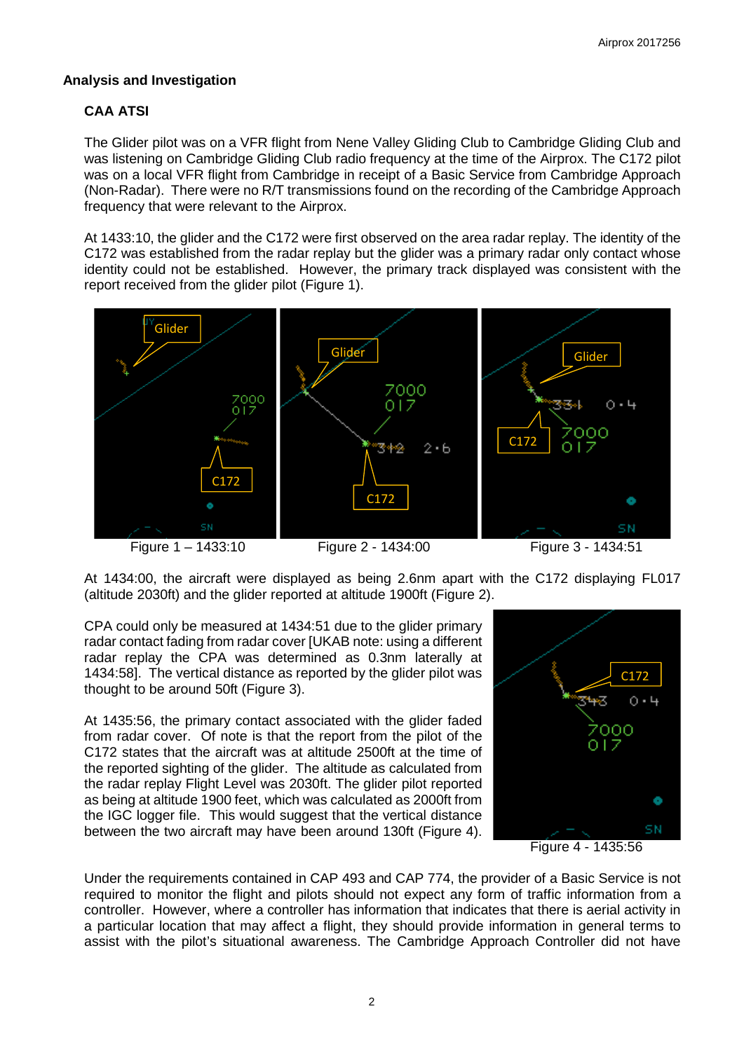## **Analysis and Investigation**

# **CAA ATSI**

The Glider pilot was on a VFR flight from Nene Valley Gliding Club to Cambridge Gliding Club and was listening on Cambridge Gliding Club radio frequency at the time of the Airprox. The C172 pilot was on a local VFR flight from Cambridge in receipt of a Basic Service from Cambridge Approach (Non-Radar). There were no R/T transmissions found on the recording of the Cambridge Approach frequency that were relevant to the Airprox.

At 1433:10, the glider and the C172 were first observed on the area radar replay. The identity of the C172 was established from the radar replay but the glider was a primary radar only contact whose identity could not be established. However, the primary track displayed was consistent with the report received from the glider pilot (Figure 1).



At 1434:00, the aircraft were displayed as being 2.6nm apart with the C172 displaying FL017 (altitude 2030ft) and the glider reported at altitude 1900ft (Figure 2).

CPA could only be measured at 1434:51 due to the glider primary radar contact fading from radar cover [UKAB note: using a different radar replay the CPA was determined as 0.3nm laterally at 1434:58]. The vertical distance as reported by the glider pilot was thought to be around 50ft (Figure 3).

At 1435:56, the primary contact associated with the glider faded from radar cover. Of note is that the report from the pilot of the C172 states that the aircraft was at altitude 2500ft at the time of the reported sighting of the glider. The altitude as calculated from the radar replay Flight Level was 2030ft. The glider pilot reported as being at altitude 1900 feet, which was calculated as 2000ft from the IGC logger file. This would suggest that the vertical distance between the two aircraft may have been around 130ft (Figure 4).



Figure 4 - 1435:56

Under the requirements contained in CAP 493 and CAP 774, the provider of a Basic Service is not required to monitor the flight and pilots should not expect any form of traffic information from a controller. However, where a controller has information that indicates that there is aerial activity in a particular location that may affect a flight, they should provide information in general terms to assist with the pilot's situational awareness. The Cambridge Approach Controller did not have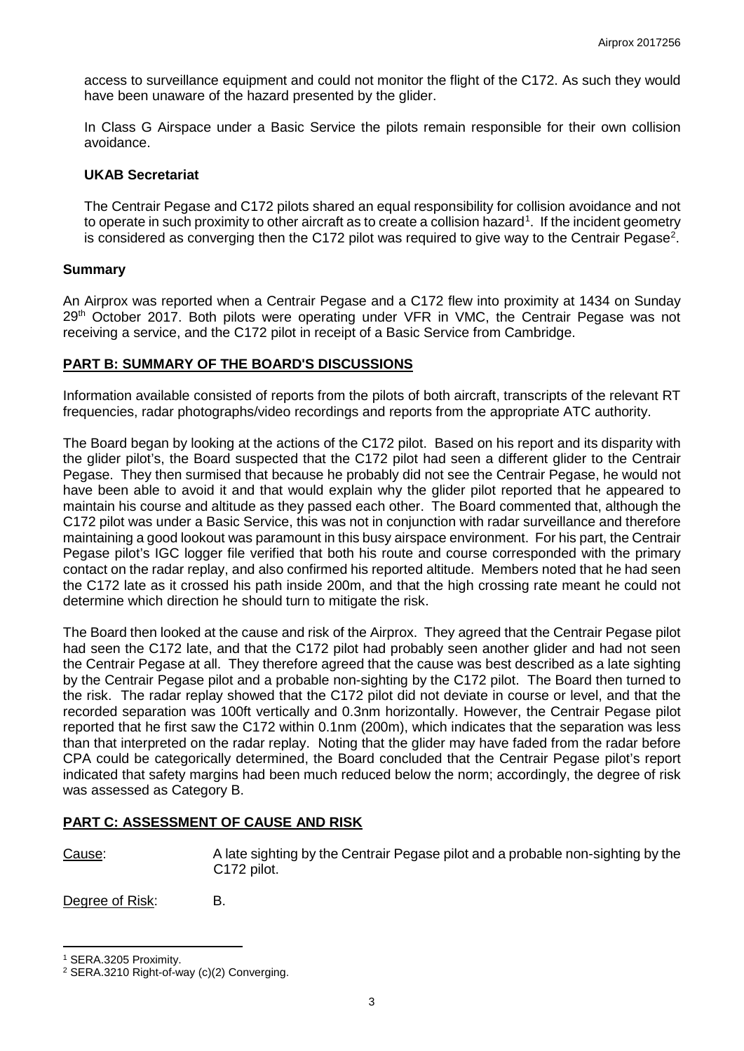access to surveillance equipment and could not monitor the flight of the C172. As such they would have been unaware of the hazard presented by the glider.

In Class G Airspace under a Basic Service the pilots remain responsible for their own collision avoidance.

#### **UKAB Secretariat**

The Centrair Pegase and C172 pilots shared an equal responsibility for collision avoidance and not to operate in such proximity to other aircraft as to create a collision hazard<sup>[1](#page-2-0)</sup>. If the incident geometry is considered as converging then the C17[2](#page-2-1) pilot was required to give way to the Centrair Pegase<sup>2</sup>.

#### **Summary**

An Airprox was reported when a Centrair Pegase and a C172 flew into proximity at 1434 on Sunday 29<sup>th</sup> October 2017. Both pilots were operating under VFR in VMC, the Centrair Pegase was not receiving a service, and the C172 pilot in receipt of a Basic Service from Cambridge.

## **PART B: SUMMARY OF THE BOARD'S DISCUSSIONS**

Information available consisted of reports from the pilots of both aircraft, transcripts of the relevant RT frequencies, radar photographs/video recordings and reports from the appropriate ATC authority.

The Board began by looking at the actions of the C172 pilot. Based on his report and its disparity with the glider pilot's, the Board suspected that the C172 pilot had seen a different glider to the Centrair Pegase. They then surmised that because he probably did not see the Centrair Pegase, he would not have been able to avoid it and that would explain why the glider pilot reported that he appeared to maintain his course and altitude as they passed each other. The Board commented that, although the C172 pilot was under a Basic Service, this was not in conjunction with radar surveillance and therefore maintaining a good lookout was paramount in this busy airspace environment. For his part, the Centrair Pegase pilot's IGC logger file verified that both his route and course corresponded with the primary contact on the radar replay, and also confirmed his reported altitude. Members noted that he had seen the C172 late as it crossed his path inside 200m, and that the high crossing rate meant he could not determine which direction he should turn to mitigate the risk.

The Board then looked at the cause and risk of the Airprox. They agreed that the Centrair Pegase pilot had seen the C172 late, and that the C172 pilot had probably seen another glider and had not seen the Centrair Pegase at all. They therefore agreed that the cause was best described as a late sighting by the Centrair Pegase pilot and a probable non-sighting by the C172 pilot. The Board then turned to the risk. The radar replay showed that the C172 pilot did not deviate in course or level, and that the recorded separation was 100ft vertically and 0.3nm horizontally. However, the Centrair Pegase pilot reported that he first saw the C172 within 0.1nm (200m), which indicates that the separation was less than that interpreted on the radar replay. Noting that the glider may have faded from the radar before CPA could be categorically determined, the Board concluded that the Centrair Pegase pilot's report indicated that safety margins had been much reduced below the norm; accordingly, the degree of risk was assessed as Category B.

#### **PART C: ASSESSMENT OF CAUSE AND RISK**

l

Cause: A late sighting by the Centrair Pegase pilot and a probable non-sighting by the C172 pilot.

Degree of Risk: B.

<span id="page-2-0"></span><sup>1</sup> SERA.3205 Proximity.

<span id="page-2-1"></span><sup>2</sup> SERA.3210 Right-of-way (c)(2) Converging.